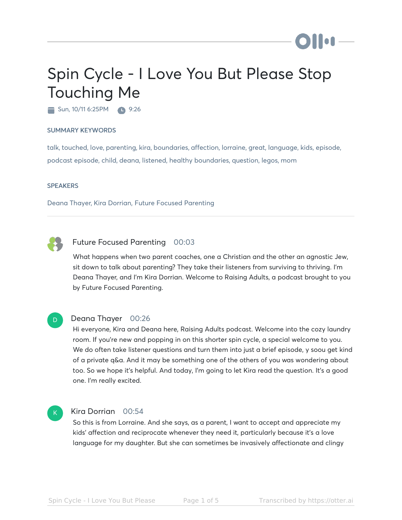# Spin Cycle - I Love You But Please Stop Touching Me

Sun, 10/11 6:25PM **1**9:26

#### SUMMARY KEYWORDS

talk, touched, love, parenting, kira, boundaries, affection, lorraine, great, language, kids, episode, podcast episode, child, deana, listened, healthy boundaries, question, legos, mom

#### **SPEAKERS**

Deana Thayer, Kira Dorrian, Future Focused Parenting



#### Future Focused Parenting 00:03

What happens when two parent coaches, one a Christian and the other an agnostic Jew, sit down to talk about parenting? They take their listeners from surviving to thriving. I'm Deana Thayer, and I'm Kira Dorrian. Welcome to Raising Adults, a podcast brought to you by Future Focused Parenting.



#### Deana Thayer 00:26

Hi everyone, Kira and Deana here, Raising Adults podcast. Welcome into the cozy laundry room. If you're new and popping in on this shorter spin cycle, a special welcome to you. We do often take listener questions and turn them into just a brief episode, y soou get kind of a private q&a. And it may be something one of the others of you was wondering about too. So we hope it's helpful. And today, I'm going to let Kira read the question. It's a good one. I'm really excited.

#### K

#### Kira Dorrian 00:54

So this is from Lorraine. And she says, as a parent, I want to accept and appreciate my kids' affection and reciprocate whenever they need it, particularly because it's a love language for my daughter. But she can sometimes be invasively affectionate and clingy

**bellet**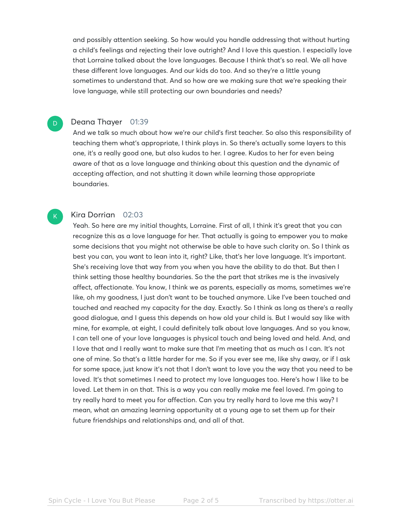and possibly attention seeking. So how would you handle addressing that without hurting a child's feelings and rejecting their love outright? And I love this question. I especially love that Lorraine talked about the love languages. Because I think that's so real. We all have these different love languages. And our kids do too. And so they're a little young sometimes to understand that. And so how are we making sure that we're speaking their love language, while still protecting our own boundaries and needs?

#### Deana Thayer 01:39

D

K

And we talk so much about how we're our child's first teacher. So also this responsibility of teaching them what's appropriate, I think plays in. So there's actually some layers to this one, it's a really good one, but also kudos to her. I agree. Kudos to her for even being aware of that as a love language and thinking about this question and the dynamic of accepting affection, and not shutting it down while learning those appropriate boundaries.

#### Kira Dorrian 02:03

Yeah. So here are my initial thoughts, Lorraine. First of all, I think it's great that you can recognize this as a love language for her. That actually is going to empower you to make some decisions that you might not otherwise be able to have such clarity on. So I think as best you can, you want to lean into it, right? Like, that's her love language. It's important. She's receiving love that way from you when you have the ability to do that. But then I think setting those healthy boundaries. So the the part that strikes me is the invasively affect, affectionate. You know, I think we as parents, especially as moms, sometimes we're like, oh my goodness, I just don't want to be touched anymore. Like I've been touched and touched and reached my capacity for the day. Exactly. So I think as long as there's a really good dialogue, and I guess this depends on how old your child is. But I would say like with mine, for example, at eight, I could definitely talk about love languages. And so you know, I can tell one of your love languages is physical touch and being loved and held. And, and I love that and I really want to make sure that I'm meeting that as much as I can. It's not one of mine. So that's a little harder for me. So if you ever see me, like shy away, or if I ask for some space, just know it's not that I don't want to love you the way that you need to be loved. It's that sometimes I need to protect my love languages too. Here's how I like to be loved. Let them in on that. This is a way you can really make me feel loved. I'm going to try really hard to meet you for affection. Can you try really hard to love me this way? I mean, what an amazing learning opportunity at a young age to set them up for their future friendships and relationships and, and all of that.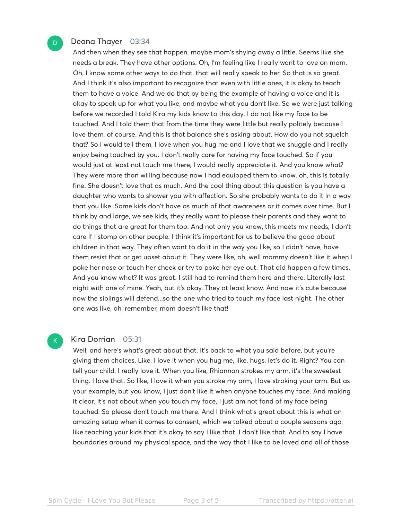#### Deana Thayer 03:34

And then when they see that happen, maybe mom's shying away a little. Seems like she needs a break. They have other options. Oh, I'm feeling like I really want to love on mom. Oh, I know some other ways to do that, that will really speak to her. So that is so great. And I think it's also important to recognize that even with little ones, it is okay to teach them to have a voice. And we do that by being the example of having a voice and it is okay to speak up for what you like, and maybe what you don't like. So we were just talking before we recorded I told Kira my kids know to this day, I do not like my face to be touched. And I told them that from the time they were little but really politely because I love them, of course. And this is that balance she's asking about. How do you not squelch that? So I would tell them, I love when you hug me and I love that we snuggle and I really enjoy being touched by you. I don't really care for having my face touched. So if you would just at least not touch me there, I would really appreciate it. And you know what? They were more than willing because now I had equipped them to know, oh, this is totally fine. She doesn't love that as much. And the cool thing about this question is you have a daughter who wants to shower you with affection. So she probably wants to do it in a way that you like. Some kids don't have as much of that awareness or it comes over time. But I think by and large, we see kids, they really want to please their parents and they want to do things that are great for them too. And not only you know, this meets my needs, I don't care if I stomp on other people. I think it's important for us to believe the good about children in that way. They often want to do it in the way you like, so I didn't have, have them resist that or get upset about it. They were like, oh, well mommy doesn't like it when I poke her nose or touch her cheek or try to poke her eye out. That did happen a few times. And you know what? It was great. I still had to remind them here and there. Literally last night with one of mine. Yeah, but it's okay. They at least know. And now it's cute because now the siblings will defend...so the one who tried to touch my face last night. The other one was like, oh, remember, mom doesn't like that!

#### Kira Dorrian 05:31

K

Well, and here's what's great about that. It's back to what you said before, but you're giving them choices. Like, I love it when you hug me, like, hugs, let's do it. Right? You can tell your child, I really love it. When you like, Rhiannon strokes my arm, it's the sweetest thing. I love that. So like, I love it when you stroke my arm, I love stroking your arm. But as your example, but you know, I just don't like it when anyone touches my face. And making it clear. It's not about when you touch my face, I just am not fond of my face being touched. So please don't touch me there. And I think what's great about this is what an amazing setup when it comes to consent, which we talked about a couple seasons ago, like teaching your kids that it's okay to say I like that. I don't like that. And to say I have boundaries around my physical space, and the way that I like to be loved and all of those

D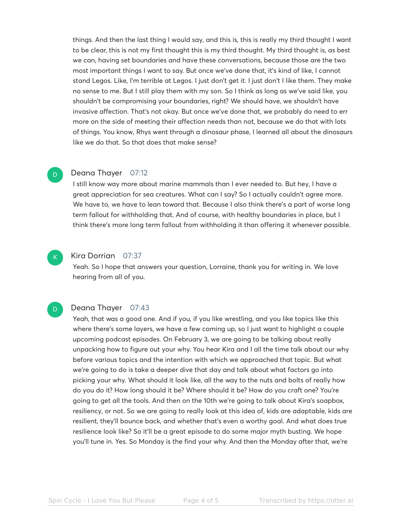things. And then the last thing I would say, and this is, this is really my third thought I want to be clear, this is not my first thought this is my third thought. My third thought is, as best we can, having set boundaries and have these conversations, because those are the two most important things I want to say. But once we've done that, it's kind of like, I cannot stand Legos. Like, I'm terrible at Legos. I just don't get it. I just don't I like them. They make no sense to me. But I still play them with my son. So I think as long as we've said like, you shouldn't be compromising your boundaries, right? We should have, we shouldn't have invasive affection. That's not okay. But once we've done that, we probably do need to err more on the side of meeting their affection needs than not, because we do that with lots of things. You know, Rhys went through a dinosaur phase, I learned all about the dinosaurs like we do that. So that does that make sense?

#### Deana Thayer 07:12

I still know way more about marine mammals than I ever needed to. But hey, I have a great appreciation for sea creatures. What can I say? So I actually couldn't agree more. We have to, we have to lean toward that. Because I also think there's a part of worse long term fallout for withholding that. And of course, with healthy boundaries in place, but I think there's more long term fallout from withholding it than offering it whenever possible.



D

#### Kira Dorrian 07:37

Yeah. So I hope that answers your question, Lorraine, thank you for writing in. We love hearing from all of you.

#### Deana Thayer 07:43 D.

Yeah, that was a good one. And if you, if you like wrestling, and you like topics like this where there's some layers, we have a few coming up, so I just want to highlight a couple upcoming podcast episodes. On February 3, we are going to be talking about really unpacking how to figure out your why. You hear Kira and I all the time talk about our why before various topics and the intention with which we approached that topic. But what we're going to do is take a deeper dive that day and talk about what factors go into picking your why. What should it look like, all the way to the nuts and bolts of really how do you do it? How long should it be? Where should it be? How do you craft one? You're going to get all the tools. And then on the 10th we're going to talk about Kira's soapbox, resiliency, or not. So we are going to really look at this idea of, kids are adaptable, kids are resilient, they'll bounce back, and whether that's even a worthy goal. And what does true resilience look like? So it'll be a great episode to do some major myth busting. We hope you'll tune in. Yes. So Monday is the find your why. And then the Monday after that, we're